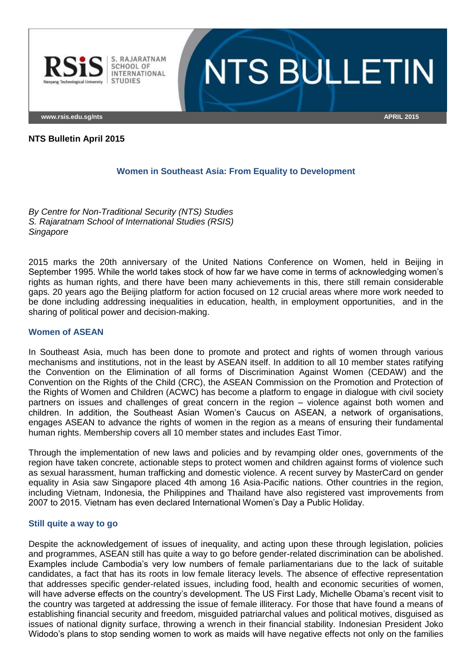

# **NTS BULLETIN**

**www.rsis.edu.sg/nts APRIL 2015**

#### **NTS Bulletin April 2015**

#### **Women in Southeast Asia: From Equality to Development**

*By Centre for Non-Traditional Security (NTS) Studies S. Rajaratnam School of International Studies (RSIS) Singapore*

2015 marks the 20th anniversary of the United Nations Conference on Women, held in Beijing in September 1995. While the world takes stock of how far we have come in terms of acknowledging women's rights as human rights, and there have been many achievements in this, there still remain considerable gaps. 20 years ago the Beijing platform for action focused on 12 crucial areas where more work needed to be done including addressing inequalities in education, health, in employment opportunities, and in the sharing of political power and decision-making.

#### **Women of ASEAN**

In Southeast Asia, much has been done to promote and protect and rights of women through various mechanisms and institutions, not in the least by ASEAN itself. In addition to all 10 member states ratifying the Convention on the Elimination of all forms of Discrimination Against Women (CEDAW) and the Convention on the Rights of the Child (CRC), the ASEAN Commission on the Promotion and Protection of the Rights of Women and Children (ACWC) has become a platform to engage in dialogue with civil society partners on issues and challenges of great concern in the region – violence against both women and children. In addition, the Southeast Asian Women's Caucus on ASEAN, a network of organisations, engages ASEAN to advance the rights of women in the region as a means of ensuring their fundamental human rights. Membership covers all 10 member states and includes East Timor.

Through the implementation of new laws and policies and by revamping older ones, governments of the region have taken concrete, actionable steps to protect women and children against forms of violence such as sexual harassment, human trafficking and domestic violence. A recent survey by MasterCard on gender equality in Asia saw Singapore placed 4th among 16 Asia-Pacific nations. Other countries in the region, including Vietnam, Indonesia, the Philippines and Thailand have also registered vast improvements from 2007 to 2015. Vietnam has even declared International Women's Day a Public Holiday.

#### **Still quite a way to go**

Despite the acknowledgement of issues of inequality, and acting upon these through legislation, policies and programmes, ASEAN still has quite a way to go before gender-related discrimination can be abolished. Examples include Cambodia's very low numbers of female parliamentarians due to the lack of suitable candidates, a fact that has its roots in low female literacy levels. The absence of effective representation that addresses specific gender-related issues, including food, health and economic securities of women, will have adverse effects on the country's development. The US First Lady, Michelle Obama's recent visit to the country was targeted at addressing the issue of female illiteracy. For those that have found a means of establishing financial security and freedom, misguided patriarchal values and political motives, disguised as issues of national dignity surface, throwing a wrench in their financial stability. Indonesian President Joko Widodo's plans to stop sending women to work as maids will have negative effects not only on the families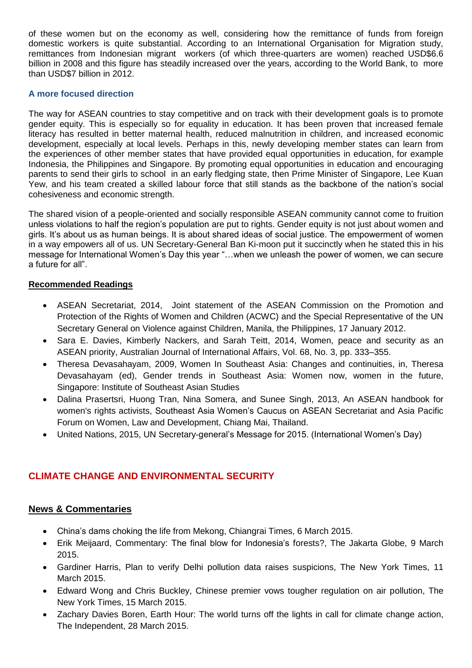of these women but on the economy as well, considering how the remittance of funds from foreign domestic workers is quite substantial. According to an International Organisation for Migration study, remittances from Indonesian migrant workers (of which three-quarters are women) reached USD\$6.6 billion in 2008 and this figure has steadily increased over the years, according to the World Bank, to more than USD\$7 billion in 2012.

#### **A more focused direction**

The way for ASEAN countries to stay competitive and on track with their development goals is to promote gender equity. This is especially so for equality in education. It has been proven that increased female literacy has resulted in better maternal health, reduced malnutrition in children, and increased economic development, especially at local levels. Perhaps in this, newly developing member states can learn from the experiences of other member states that have provided equal opportunities in education, for example Indonesia, the Philippines and Singapore. By promoting equal opportunities in education and encouraging parents to send their girls to school in an early fledging state, then Prime Minister of Singapore, Lee Kuan Yew, and his team created a skilled labour force that still stands as the backbone of the nation's social cohesiveness and economic strength.

The shared vision of a people-oriented and socially responsible ASEAN community cannot come to fruition unless violations to half the region's population are put to rights. Gender equity is not just about women and girls. It's about us as human beings. It is about shared ideas of social justice. The empowerment of women in a way empowers all of us. UN Secretary-General Ban Ki-moon put it succinctly when he stated this in his message for International Women's Day this year "…when we unleash the power of women, we can secure a future for all".

#### **Recommended Readings**

- ASEAN Secretariat, 2014, [Joint statement of the ASEAN Commission on the Promotion and](http://www.asean.org/news/asean-statement-communiques/item/joint-statement-of-the-asean-commission-on-the-promotion-and-protection-of-the-rights-of-women-and-children-acwc-and-the-special-representative-of-the-un-secretary-general-on-violence-against-children)  [Protection of the Rights of Women and Children \(ACWC\) and the Special Representative of the UN](http://www.asean.org/news/asean-statement-communiques/item/joint-statement-of-the-asean-commission-on-the-promotion-and-protection-of-the-rights-of-women-and-children-acwc-and-the-special-representative-of-the-un-secretary-general-on-violence-against-children)  [Secretary General on Violence against Children, Manila, the Philippines, 17 January 2012.](http://www.asean.org/news/asean-statement-communiques/item/joint-statement-of-the-asean-commission-on-the-promotion-and-protection-of-the-rights-of-women-and-children-acwc-and-the-special-representative-of-the-un-secretary-general-on-violence-against-children)
- Sara E. [Davies, Kimberly Nackers, and Sarah Teitt, 2014, Women, peace and security as an](http://www.tandfonline.com/doi/abs/10.1080/10357718.2014.902030?journalCode=caji20#.VSOG5fmUf1Y)  ASEAN priority, [Australian Journal of International Affairs, Vol. 68, No. 3, pp. 333–355.](http://www.tandfonline.com/doi/abs/10.1080/10357718.2014.902030?journalCode=caji20#.VSOG5fmUf1Y)
- Theresa Devasahayam, 2009, Women In Southeast Asia: Changes and continuities, in, Theresa Devasahayam (ed), Gender trends in Southeast Asia: Women now, women in the future, Singapore: Institute of Southeast Asian Studies
- Dalina [Prasertsri, Huong Tran, Nina Somera, and Sunee Singh, 2013, An ASEAN handbook for](http://apwld.org/wp-content/uploads/2013/12/ASEAN-Handbook-for-Womens-Rights-Activists.pdf)  women's rights activists, [Southeast Asia Women's Caucus on ASEAN Secretariat and Asia Pacific](http://apwld.org/wp-content/uploads/2013/12/ASEAN-Handbook-for-Womens-Rights-Activists.pdf)  [Forum on Women, Law and Development,](http://apwld.org/wp-content/uploads/2013/12/ASEAN-Handbook-for-Womens-Rights-Activists.pdf) Chiang Mai, Thailand.
- United Nations, 2015, [UN Secretary-general's Message for 2015. \(International Women's Day\)](http://www.un.org/en/events/womensday/2015/sgmessage.shtml)

# **CLIMATE CHANGE AND ENVIRONMENTAL SECURITY**

- [China's dams choking the life from Mekong, Chiangrai Times, 6 March 2015.](http://www.chiangraitimes.com/chinas-dams-choking-the-life-from-mekong.html)
- [Erik Meijaard, Commentary: The final blow for Indonesia's forests?, The Jakarta Globe, 9 March](http://thejakartaglobe.beritasatu.com/opinion/commentary-final-blow-indonesias-forests/)  [2015.](http://thejakartaglobe.beritasatu.com/opinion/commentary-final-blow-indonesias-forests/)
- [Gardiner Harris, Plan to verify Delhi pollution data raises suspicions, The New York Times, 11](http://www.nytimes.com/2015/03/12/world/asia/delhi-to-delay-release-of-air-quality-data.html?ref=topics)  [March 2015.](http://www.nytimes.com/2015/03/12/world/asia/delhi-to-delay-release-of-air-quality-data.html?ref=topics)
- [Edward Wong and Chris Buckley, Chinese premier vows tougher regulation on air pollution, The](http://www.nytimes.com/2015/03/16/world/asia/chinese-premier-li-keqiang-vows-tougher-regulation-on-air-pollution.html?ref=topics&_r=0)  [New York Times, 15 March 2015.](http://www.nytimes.com/2015/03/16/world/asia/chinese-premier-li-keqiang-vows-tougher-regulation-on-air-pollution.html?ref=topics&_r=0)
- [Zachary Davies Boren, Earth Hour: The world turns off the lights in call for climate](http://www.independent.co.uk/life-style/health-and-families/health-news/earth-hour-the-world-turns-off-the-lights-in-call-for-climate-change-action-10141217.html) change action, [The Independent,](http://www.independent.co.uk/life-style/health-and-families/health-news/earth-hour-the-world-turns-off-the-lights-in-call-for-climate-change-action-10141217.html) 28 March 2015.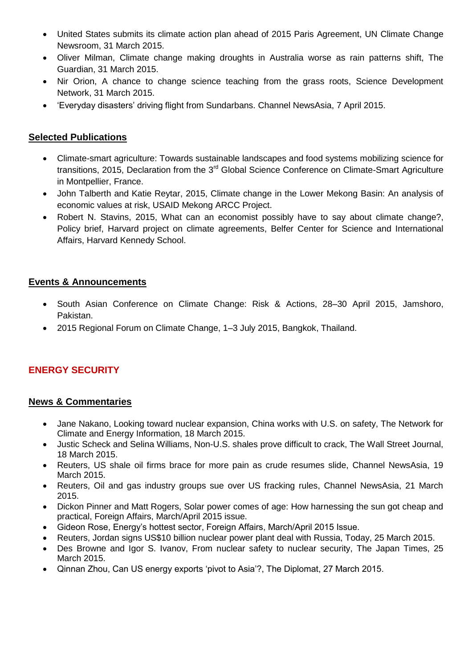- [United States submits its climate action plan ahead of 2015 Paris Agreement,](http://newsroom.unfccc.int/unfccc-newsroom/united-states-submits-its-climate-action-plan-ahead-of-2015-paris-agreement/) UN Climate Change [Newsroom, 31 March 2015.](http://newsroom.unfccc.int/unfccc-newsroom/united-states-submits-its-climate-action-plan-ahead-of-2015-paris-agreement/)
- [Oliver Milman, Climate change making droughts in Australia worse as rain patterns shift, The](http://www.theguardian.com/environment/2015/mar/31/climate-change-making-droughts-in-australia-worse-as-rain-patterns-shift)  [Guardian, 31 March 2015.](http://www.theguardian.com/environment/2015/mar/31/climate-change-making-droughts-in-australia-worse-as-rain-patterns-shift)
- Nir Orion, A chance to change science teaching from the grass roots, Science Development [Network, 31 March 2015.](http://www.scidev.net/global/education/opinion/change-science-teaching-from-grass-roots.html)
- ['Everyday disasters' driving flight from Sundarbans. Channel NewsAsia,](http://www.channelnewsasia.com/news/world/everyday-disasters-driv/1770120.html) 7 April 2015.

- [Climate-smart agriculture: Towards sustainable landscapes and food systems mobilizing science for](https://inra-dam-front-resources-cdn.brainsonic.com/ressources/afile/280829-1209a-resource-declaration-de-montpellier.html)  transitions, 2015, Declaration from the 3<sup>rd</sup> Global Science Conference on Climate-Smart Agriculture [in Montpellier, France.](https://inra-dam-front-resources-cdn.brainsonic.com/ressources/afile/280829-1209a-resource-declaration-de-montpellier.html)
- John Talberth and Katie Reytar, 2015, Climate change [in the Lower Mekong Basin: An analysis of](http://mekongarcc.net/resource/report-climate-change-lower-mekong-basin-analysis-economic-values-risk)  economic values at risk, [USAID Mekong ARCC Project.](http://mekongarcc.net/resource/report-climate-change-lower-mekong-basin-analysis-economic-values-risk)
- Robert N. Stavins, 2015, [What can an economist possibly have to say about climate change?,](http://belfercenter.ksg.harvard.edu/publication/25155/what_can_an_economist_possibly_have_to_say_about_climate_change.html) [Policy brief, Harvard project on climate agreements, Belfer Center for Science and International](http://belfercenter.ksg.harvard.edu/publication/25155/what_can_an_economist_possibly_have_to_say_about_climate_change.html)  [Affairs, Harvard Kennedy School.](http://belfercenter.ksg.harvard.edu/publication/25155/what_can_an_economist_possibly_have_to_say_about_climate_change.html)

# **Events & Announcements**

- [South Asian Conference on Climate Change: Risk &](http://www.unisdr.org/we/inform/events/41634) Actions, 28–30 April 2015, Jamshoro, [Pakistan.](http://www.unisdr.org/we/inform/events/41634)
- [2015 Regional Forum on Climate Change, 1–3 July 2015, Bangkok, Thailand.](http://www.asef.org/projects/themes/sustainable-development/3476-climate-change-conference-bangkok)

# **ENERGY SECURITY**

- [Jane Nakano, Looking toward nuclear expansion, China works with U.S. on safety, The Network for](http://www.chinafaqs.org/blog-posts/looking-toward-nuclear-expansion-china-works-us-safety)  [Climate and Energy Information, 18 March 2015.](http://www.chinafaqs.org/blog-posts/looking-toward-nuclear-expansion-china-works-us-safety)
- [Justic Scheck and Selina Williams, Non-U.S. shales prove difficult to crack, The Wall Street Journal,](http://www.wsj.com/articles/oil-giants-break-their-picks-trying-to-crack-non-u-s-shales-1426735258?mod=e2tw)  [18 March 2015.](http://www.wsj.com/articles/oil-giants-break-their-picks-trying-to-crack-non-u-s-shales-1426735258?mod=e2tw)
- [Reuters, US shale oil firms brace for more pain as crude resumes slide, Channel NewsAsia, 19](http://www.channelnewsasia.com/news/business/us-shale-oil-firms-brace/1725422.html)  [March 2015.](http://www.channelnewsasia.com/news/business/us-shale-oil-firms-brace/1725422.html)
- [Reuters, Oil and gas industry groups sue over US fracking rules, Channel NewsAsia, 21 March](http://www.channelnewsasia.com/news/business/international/oil-and-gas-industry-grou/1730442.html?cid=TWTCNA&utm_source=dlvr.it&utm_medium=twitter)  [2015.](http://www.channelnewsasia.com/news/business/international/oil-and-gas-industry-grou/1730442.html?cid=TWTCNA&utm_source=dlvr.it&utm_medium=twitter)
- [Dickon Pinner and Matt Rogers, Solar power comes of age: How harnessing the sun got cheap and](http://www.foreignaffairs.com/articles/143066/dickon-pinner-and-matt-rogers/solar-power-comes-of-age)  [practical, Foreign Affairs, March/April 2015 issue.](http://www.foreignaffairs.com/articles/143066/dickon-pinner-and-matt-rogers/solar-power-comes-of-age)
- [Gideon Rose, Energy's hottest sector, Foreign Affairs, March/April 2015 Issue.](http://www.foreignaffairs.com/articles/143086/gideon-rose/energys-hottest-sector)
- [Reuters, Jordan signs US\\$10 billion nuclear power plant deal with Russia, Today, 25 March 2015.](http://www.todayonline.com/world/jordan-signs-10-billion-nuclear-power-plant-deal-russia)
- [Des Browne and Igor S. Ivanov, From nuclear safety to nuclear security, The Japan Times, 25](http://www.japantimes.co.jp/opinion/2015/03/25/commentary/world-commentary/shift-focus-nuclear-safety-nuclear-security/#.VRTGnY6uk80)  [March 2015.](http://www.japantimes.co.jp/opinion/2015/03/25/commentary/world-commentary/shift-focus-nuclear-safety-nuclear-security/#.VRTGnY6uk80)
- [Qinnan Zhou, Can US energy exports 'pivot to Asia'?, The Diplomat, 27 March 2015.](http://thediplomat.com/2015/03/can-us-energy-exports-pivot-to-asia/)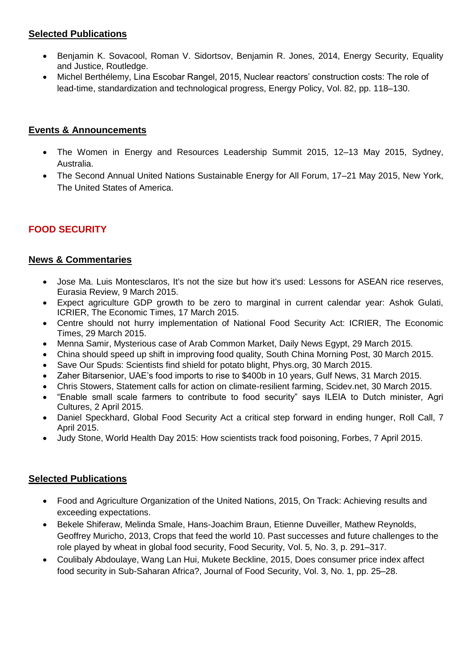- Benjamin K. Sovacool, Roman V. Sidortsov, Benjamin R. Jones, 2014, Energy Security, Equality [and Justice, Routledge.](http://www.routledge.com/books/details/9780415815208/)
- [Michel Berthélemy, Lina Escobar Rangel, 2015, Nuclear reactors' construction costs: The role of](http://www.sciencedirect.com/science/article/pii/S0301421515001214)  [lead-time, standardization and technological progress, Energy Policy, Vol. 82, pp. 118–130.](http://www.sciencedirect.com/science/article/pii/S0301421515001214)

## **Events & Announcements**

- [The Women in Energy and Resources Leadership Summit 2015, 12–13 May 2015, Sydney,](http://liquidlearning.com.au/documents/WER0515/WER0515_W.pdf)  [Australia.](http://liquidlearning.com.au/documents/WER0515/WER0515_W.pdf)
- [The Second Annual United Nations Sustainable Energy for All Forum, 17–21 May 2015, New York,](http://www.se4all.org/se4all-forum/)  [The United States of America.](http://www.se4all.org/se4all-forum/)

# **FOOD SECURITY**

## **News & Commentaries**

- [Jose Ma. Luis Montesclaros, It's not the size but how it's used: Lessons for ASEAN rice reserves,](http://www.eurasiareview.com/09032015-its-not-the-size-but-how-its-used-lesson-for-asean-rice-reserves-analysis/)  [Eurasia Review, 9 March 2015.](http://www.eurasiareview.com/09032015-its-not-the-size-but-how-its-used-lesson-for-asean-rice-reserves-analysis/)
- [Expect agriculture GDP growth to be zero to marginal in current calendar year: Ashok Gulati,](http://economictimes.indiatimes.com/articleshow/46594918.cms?utm_source=contentofinterest&utm_medium=text&utm_campaign=cppst)  [ICRIER, The Economic Times, 17 March 2015.](http://economictimes.indiatimes.com/articleshow/46594918.cms?utm_source=contentofinterest&utm_medium=text&utm_campaign=cppst)
- [Centre should not hurry implementation of National Food Security Act: ICRIER, The Economic](http://articles.economictimes.indiatimes.com/2015-03-29/news/60603010_1_national-food-security-act-nfsa-union-territories)  [Times, 29 March 2015.](http://articles.economictimes.indiatimes.com/2015-03-29/news/60603010_1_national-food-security-act-nfsa-union-territories)
- [Menna Samir, Mysterious case of Arab Common Market, Daily News Egypt, 29 March 2015.](http://www.dailynewsegypt.com/2015/03/29/mysterious-case-of-arab-common-market/)
- [China should speed up shift in improving food quality, South China Morning Post, 30 March 2015.](http://www.scmp.com/comment/insight-opinion/article/1750570/when-it-comes-food-china-right-shift-focus-quality-rather)
- [Save Our Spuds: Scientists find shield for potato blight, Phys.org, 30 March 2015.](http://phys.org/news/2015-03-spuds-scientists-shield-potato-blight.html)
- [Zaher Bitarsenior, UAE's food imports to rise to \\$400b in 10 years, Gulf News, 31 March 2015.](http://gulfnews.com/business/sectors/investment/uae-s-food-imports-to-rise-to-400b-in-10-years-1.1482864)
- [Chris Stowers, Statement calls for action on climate-resilient farming,](http://www.scidev.net/global/agriculture/news/climate-resilient-farming.html) Scidev.net, 30 March 2015.
- ["Enable small scale farmers to contribute to food security" says ILEIA to Dutch minister, Agri](http://www.agriculturesnetwork.org/news/policy-consultation-ileia-0204)  [Cultures, 2 April 2015.](http://www.agriculturesnetwork.org/news/policy-consultation-ileia-0204)
- Daniel Speckhard, Global Food Security Act a critical step forward in ending hunger, Roll Call, 7 [April 2015.](http://blogs.rollcall.com/beltway-insiders/global-food-security-act-critical-step-forward-ending-hunger-commentary/?dcz=)
- [Judy Stone, World Health Day 2015: How scientists track food poisoning, Forbes, 7 April 2015.](http://www.forbes.com/sites/judystone/2015/04/07/world-health-day-2015-food-safety-tips/)

# **Selected Publications**

- [Food and Agriculture Organization of the United Nations, 2015, On Track: Achieving results and](http://www.fao.org/documents/card/en/c/b87cede5-58ce-4961-b92f-0be9bfb2a49d/?utm_source=faohomepage&utm_medium=web&utm_campaign=featurebar)  [exceeding expectations.](http://www.fao.org/documents/card/en/c/b87cede5-58ce-4961-b92f-0be9bfb2a49d/?utm_source=faohomepage&utm_medium=web&utm_campaign=featurebar)
- [Bekele Shiferaw, Melinda Smale, Hans-Joachim Braun, Etienne Duveiller, Mathew Reynolds,](http://link.springer.com/article/10.1007/S12571-013-0263-Y?wt_mc=Other.Other.10.CON871.ALMjournalmega_downl_433)  [Geoffrey Muricho, 2013, Crops that feed the world 10. Past successes and future challenges to the](http://link.springer.com/article/10.1007/S12571-013-0263-Y?wt_mc=Other.Other.10.CON871.ALMjournalmega_downl_433)  [role played by wheat in global food security, Food Security, Vol. 5, No. 3, p. 291–317.](http://link.springer.com/article/10.1007/S12571-013-0263-Y?wt_mc=Other.Other.10.CON871.ALMjournalmega_downl_433)
- [Coulibaly Abdoulaye, Wang Lan Hui, Mukete Beckline, 2015, Does consumer price index affect](http://pubs.sciepub.com/jfs/3/1/4/index.html)  [food security in Sub-Saharan Africa?,](http://pubs.sciepub.com/jfs/3/1/4/index.html) Journal of Food Security, Vol. 3, No. 1, pp. 25–28.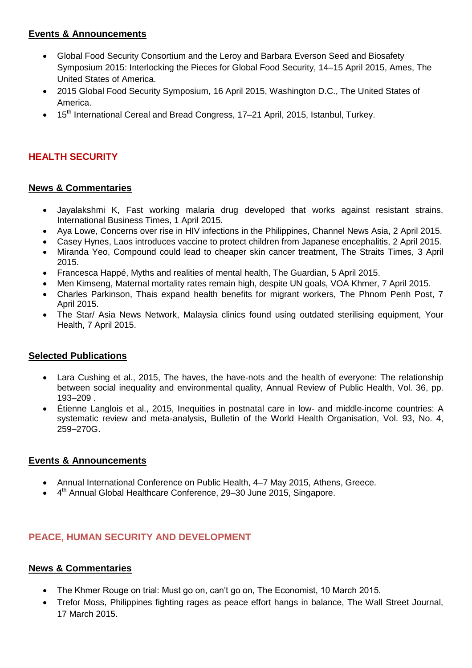# **Events & Announcements**

- [Global Food Security Consortium and the Leroy and Barbara Everson Seed and Biosafety](http://www.extension.iastate.edu/registration/events/conferences/gfsc/program.html)  [Symposium 2015: Interlocking the Pieces for Global Food Security, 14–15 April 2015, Ames, The](http://www.extension.iastate.edu/registration/events/conferences/gfsc/program.html)  [United States of America.](http://www.extension.iastate.edu/registration/events/conferences/gfsc/program.html)
- [2015 Global Food Security Symposium, 16 April 2015, Washington D.C., The United States of](http://www.thechicagocouncil.org/event/healthy-food-healthy-world-leveraging-agriculture-and-food-improve-global-nutrition)  [America.](http://www.thechicagocouncil.org/event/healthy-food-healthy-world-leveraging-agriculture-and-food-improve-global-nutrition)
- 15<sup>th</sup> [International Cereal and Bread Congress, 17–21 April, 2015, Istanbul, Turkey.](https://www.moniqa.org/webfm_send/217)

# **HEALTH SECURITY**

## **News & Commentaries**

- Jayalakshmi [K, Fast working malaria drug developed that works against resistant strains,](http://www.ibtimes.co.uk/bangalore-fast-working-malaria-drug-working-against-drug-resistant-strains-1494497)  [International Business Times, 1 April 2015.](http://www.ibtimes.co.uk/bangalore-fast-working-malaria-drug-working-against-drug-resistant-strains-1494497)
- Aya Lowe, Concerns over rise in [HIV infections in the Philippines, Channel News Asia, 2 April 2015.](http://www.channelnewsasia.com/news/asiapacific/concern-over-rise-in-hiv/1762556.html)
- [Casey Hynes, Laos introduces vaccine to protect children from](http://asiancorrespondent.com/131852/laos-introduces-vaccine-to-protect-children-from-japanese-encephalitis/) Japanese encephalitis, 2 April 2015.
- [Miranda Yeo, Compound could lead to cheaper skin cancer treatment, The Straits Times, 3 April](http://www.straitstimes.com/news/singapore/health/story/compound-could-lead-cheaper-skin-cancer-treatment-20150403)  [2015.](http://www.straitstimes.com/news/singapore/health/story/compound-could-lead-cheaper-skin-cancer-treatment-20150403)
- [Francesca Happé, Myths and realities of mental health, The Guardian, 5 April 2015.](http://www.theguardian.com/commentisfree/2015/apr/05/mental-health-lack-of-empathy-fear-ignorance)
- [Men Kimseng, Maternal mortality rates remain high, despite UN goals, VOA Khmer, 7 April 2015.](http://www.voacambodia.com/content/cambodia-maternal-mortality-rates-remain-high-despite-un-goals/2709874.html)
- [Charles Parkinson, Thais expand health benefits for migrant workers, The Phnom Penh Post, 7](http://www.phnompenhpost.com/national/thais-expand-health-benefits-migrant-workers)  [April 2015.](http://www.phnompenhpost.com/national/thais-expand-health-benefits-migrant-workers)
- [The Star/ Asia News Network, Malaysia clinics found using outdated sterilising equipment, Your](http://yourhealth.asiaone.com/content/malaysia-clinics-found-using-outdated-sterilising-equipment)  [Health, 7 April 2015.](http://yourhealth.asiaone.com/content/malaysia-clinics-found-using-outdated-sterilising-equipment)

#### **Selected Publications**

- [Lara Cushing et al., 2015, The haves, the have-nots and the health of everyone: The relationship](http://www.annualreviews.org/doi/abs/10.1146/annurev-publhealth-031914-122646?journalCode=publhealth)  [between social inequality and environmental quality, Annual Review of Public Health, Vol. 36, pp.](http://www.annualreviews.org/doi/abs/10.1146/annurev-publhealth-031914-122646?journalCode=publhealth)  [193–209 .](http://www.annualreviews.org/doi/abs/10.1146/annurev-publhealth-031914-122646?journalCode=publhealth)
- [Étienne Langlois et al., 2015, Inequities in postnatal care in low-](http://www.who.int/bulletin/volumes/93/4/14-140996/en/) and middle-income countries: A [systematic review and meta-analysis, Bulletin of the World Health Organisation, Vol. 93, No. 4,](http://www.who.int/bulletin/volumes/93/4/14-140996/en/)  [259–270G](http://www.who.int/bulletin/volumes/93/4/14-140996/en/).

## **Events & Announcements**

- [Annual International Conference on Public Health, 4–7 May](http://www.atiner.gr/publichealth.htm) 2015, Athens, Greece.
- 4<sup>th</sup> Annual Global Healthcare Conference, 29–30 June 2015, Singapore.

# **PEACE, HUMAN SECURITY AND DEVELOPMENT**

- [The Khmer Rouge on trial: Must go on, can't go on, The Economist, 10 March 2015.](http://www.economist.com/news/asia/21646112-international-court-defies-cambodias-strongman-must-go-cant-go)
- [Trefor Moss, Philippines fighting rages as peace effort hangs in balance, The Wall Street Journal,](http://www.wsj.com/articles/philippine-army-targets-splinter-faction-in-bid-to-salvage-peace-deal-1426623559)  [17 March 2015.](http://www.wsj.com/articles/philippine-army-targets-splinter-faction-in-bid-to-salvage-peace-deal-1426623559)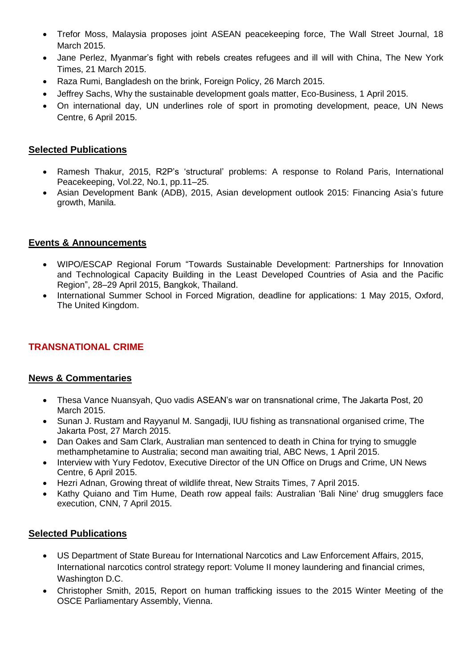- [Trefor Moss, Malaysia proposes joint ASEAN peacekeeping force, The Wall Street Journal, 18](http://www.wsj.com/articles/malaysia-plans-peacekeeping-force-for-south-china-sea-1426687959)  [March 2015.](http://www.wsj.com/articles/malaysia-plans-peacekeeping-force-for-south-china-sea-1426687959)
- [Jane Perlez, Myanmar's fight with rebels creates refugees and ill will with China, The New York](http://www.nytimes.com/2015/03/22/world/asia/myanmars-fight-with-rebels-creates-refugees-and-ill-will-with-china.html?ref=asia&_r=0)  [Times, 21 March 2015.](http://www.nytimes.com/2015/03/22/world/asia/myanmars-fight-with-rebels-creates-refugees-and-ill-will-with-china.html?ref=asia&_r=0)
- Raza Rumi, Bangladesh on the [brink, Foreign Policy, 26 March 2015.](http://foreignpolicy.com/2015/03/26/bangladesh-on-the-brink/)
- [Jeffrey Sachs, Why the sustainable development goals matter, Eco-Business, 1 April 2015.](http://www.eco-business.com/opinion/why-the-sustainable-development-goals-matter/)
- [On international day, UN underlines role of sport in promoting development, peace, UN News](http://www.un.org/apps/news/story.asp?NewsID=50504#.VSNzvlWUe4w)  [Centre, 6 April 2015.](http://www.un.org/apps/news/story.asp?NewsID=50504#.VSNzvlWUe4w)

- Ramesh Thakur, 2015, R2P's 'structural' [problems: A response to Roland Paris, International](http://www.tandfonline.com/doi/full/10.1080/13533312.2014.992575#.VSTNe1WUe4w)  [Peacekeeping, Vol.22, No.1, pp.11–25.](http://www.tandfonline.com/doi/full/10.1080/13533312.2014.992575#.VSTNe1WUe4w)
- [Asian Development Bank \(ADB\), 2015, Asian development outlook 2015: Financing Asia's future](http://www.adb.org/sites/default/files/publication/154508/ado-2015.pdf)  [growth, Manila.](http://www.adb.org/sites/default/files/publication/154508/ado-2015.pdf)

## **Events & Announcements**

- [WIPO/ESCAP Regional Forum "Towards Sustainable Development: Partnerships for Innovation](http://www.unescap.org/events/wipoescap-regional-forum-towards-sustainable-development-partnerships-innovation-and)  [and Technological Capacity Building in the Least Developed Countries of Asia and the Pacific](http://www.unescap.org/events/wipoescap-regional-forum-towards-sustainable-development-partnerships-innovation-and)  [Region", 28–29 April 2015, Bangkok, Thailand.](http://www.unescap.org/events/wipoescap-regional-forum-towards-sustainable-development-partnerships-innovation-and)
- [International Summer School in Forced Migration, deadline for applications: 1 May 2015, Oxford,](http://www.rsc.ox.ac.uk/study/international-summer-school)  [The United Kingdom.](http://www.rsc.ox.ac.uk/study/international-summer-school)

## **TRANSNATIONAL CRIME**

## **News & Commentaries**

- Thesa Vance Nuansyah, Quo vadis [ASEAN's war on transnational crime, The Jakarta Post, 20](http://www.thejakartapost.com/news/2015/03/20/quo-vadis-asean-s-war-transnational-crime.html)  [March 2015.](http://www.thejakartapost.com/news/2015/03/20/quo-vadis-asean-s-war-transnational-crime.html)
- [Sunan J. Rustam and Rayyanul M. Sangadji, IUU fishing as transnational](http://www.thejakartapost.com/news/2015/03/27/iuu-fishing-transnational-organized-crime.html) organised crime, The [Jakarta Post, 27 March 2015.](http://www.thejakartapost.com/news/2015/03/27/iuu-fishing-transnational-organized-crime.html)
- Dan Oakes and Sam Clark, Australian man sentenced to death in China for trying to smuggle [methamphetamine to Australia; second man awaiting trial, ABC News, 1 April 2015.](http://www.abc.net.au/news/2015-04-01/australian-man-sentenced-to-death-in-china-for-drug-smuggling/6365106)
- Interview with Yury Fedotov, Executive Director of the UN Office on Drugs and Crime, UN News [Centre, 6 April 2015.](http://www.un.org/apps/news/newsmakers.asp?NewsID=118)
- [Hezri Adnan, Growing threat of wildlife threat, New Straits Times, 7 April 2015.](http://www.nst.com.my/node/79718)
- [Kathy Quiano and Tim Hume, Death row appeal fails: Australian 'Bali Nine' drug smugglers face](http://edition.cnn.com/2015/04/06/asia/indonesia-bali-nine-appeal/)  [execution, CNN, 7 April 2015.](http://edition.cnn.com/2015/04/06/asia/indonesia-bali-nine-appeal/)

#### **Selected Publications**

- [US Department of State Bureau for International Narcotics and](http://www.state.gov/documents/organization/239561.pdf) Law Enforcement Affairs, 2015, International narcotics control strategy report: [Volume II money laundering and financial crimes,](http://www.state.gov/documents/organization/239561.pdf)  [Washington D.C.](http://www.state.gov/documents/organization/239561.pdf)
- [Christopher Smith, 2015, Report on human trafficking issues to the 2015 Winter Meeting of the](http://www.oscepa.org/publications/reports/special-reports/human-trafficking-issues-reports/2739-2015-winter-meeting-report-by-the-sr-on-human-trafficking-issues/file)  [OSCE Parliamentary Assembly, Vienna.](http://www.oscepa.org/publications/reports/special-reports/human-trafficking-issues-reports/2739-2015-winter-meeting-report-by-the-sr-on-human-trafficking-issues/file)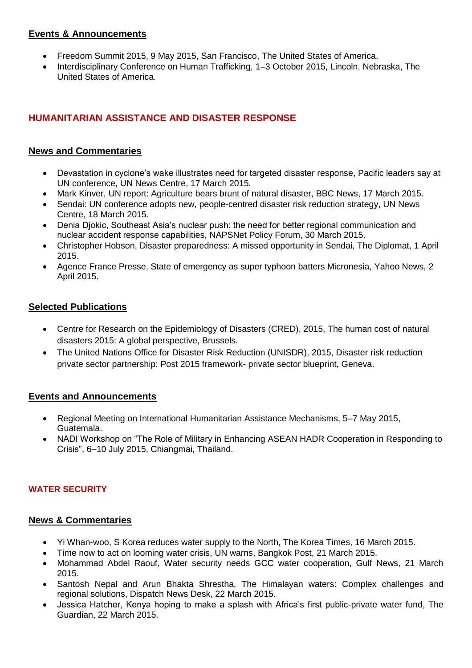# **Events & Announcements**

- [Freedom Summit 2015, 9 May 2015, San Francisco, The United States of America.](http://www.2015.freedom-summit.org/)
- Interdisciplinary Conference on Human Trafficking, 1–3 October 2015, Lincoln, Nebraska, The [United States of America.](http://humantrafficking.unl.edu/)

# **HUMANITARIAN ASSISTANCE AND DISASTER RESPONSE**

## **News and Commentaries**

- [Devastation in cyclone's wake illustrates need for targeted disaster response, Pacific leaders say at](http://www.un.org/apps/news/story.asp?NewsID=50343#.VRzsq-GSnLU)  [UN conference, UN News Centre, 17 March 2015.](http://www.un.org/apps/news/story.asp?NewsID=50343#.VRzsq-GSnLU)
- [Mark Kinver, UN report: Agriculture bears brunt of natural disaster, BBC News, 17 March 2015.](http://www.bbc.com/news/science-environment-31906909)
- [Sendai: UN conference adopts new, people-centred disaster risk reduction strategy, UN News](http://www.un.org/apps/news/story.asp?NewsID=50361#.VRzsRuGSnLU)  [Centre, 18 March 2015.](http://www.un.org/apps/news/story.asp?NewsID=50361#.VRzsRuGSnLU)
- [Denia Djokic, Southeast Asia's nuclear push: the need for better regional communication and](http://nautilus.org/napsnet/napsnet-policy-forum/southeast-asias-nuclear-push-the-need-for-better-regional-communication-and-nuclear-accident-response-capabilities/)  [nuclear accident response capabilities, NAPSNet Policy Forum, 30 March 2015.](http://nautilus.org/napsnet/napsnet-policy-forum/southeast-asias-nuclear-push-the-need-for-better-regional-communication-and-nuclear-accident-response-capabilities/)
- [Christopher Hobson, Disaster preparedness: A missed opportunity in Sendai, The Diplomat, 1 April](http://thediplomat.com/2015/04/disaster-preparedness-a-missed-opportunity-in-sendai/)  [2015.](http://thediplomat.com/2015/04/disaster-preparedness-a-missed-opportunity-in-sendai/)
- [Agence France Presse, State of emergency as super typhoon batters Micronesia, Yahoo News, 2](http://news.yahoo.com/disaster-emergency-super-typhoon-churns-micronesia-004134165.html)  [April 2015.](http://news.yahoo.com/disaster-emergency-super-typhoon-churns-micronesia-004134165.html)

## **Selected Publications**

- [Centre for Research on the Epidemiology of Disasters \(CRED\), 2015, The human cost of natural](http://reliefweb.int/sites/reliefweb.int/files/resources/PAND_report.pdf)  [disasters 2015: A global perspective, Brussels.](http://reliefweb.int/sites/reliefweb.int/files/resources/PAND_report.pdf)
- [The United Nations Office for Disaster Risk Reduction \(UNISDR\), 2015, Disaster risk reduction](http://www.unisdr.org/files/42926_090315wcdrrpspepublicationfinalonli.pdf)  [private sector partnership: Post 2015 framework-](http://www.unisdr.org/files/42926_090315wcdrrpspepublicationfinalonli.pdf) private sector blueprint, Geneva.

# **Events and Announcements**

- [Regional Meeting on International Humanitarian Assistance Mechanisms, 5–7 May 2015,](http://www.redhum.org/en/miah)  [Guatemala.](http://www.redhum.org/en/miah)
- NADI Workshop on "The Role of Military in [Enhancing ASEAN HADR Cooperation in Responding to](http://www.rsis.edu.sg/nadi/upcoming_events.html#HADR)  [Crisis", 6–10 July 2015, Chiangmai, Thailand.](http://www.rsis.edu.sg/nadi/upcoming_events.html#HADR)

# **WATER SECURITY**

- [Yi Whan-woo, S Korea reduces water supply to the North, The Korea Times, 16 March 2015.](http://www.koreatimesus.com/s-korea-reduces-water-supply-to-the-north/)
- [Time now to act on looming water crisis, UN warns, Bangkok Post, 21 March 2015.](http://www.bangkokpost.com/news/world/503615/time-now-to-act-on-looming-water-crisis-un-warns)
- Mohammad Abdel Raouf, Water security needs GCC water cooperation, Gulf News, 21 March [2015.](http://gulfnews.com/opinion/thinkers/water-security-needs-gcc-water-cooperation-1.1475858)
- Santosh Nepal and Arun Bhakta Shrestha, The Himalayan waters: Complex challenges and [regional solutions, Dispatch News Desk, 22 March 2015.](http://www.dnd.com.pk/the-himalayan-waters-complex-challenges-and-regional-solutions/89410)
- [Jessica Hatcher, Kenya hoping to make a splash with Africa's first public-private water fund, The](http://www.theguardian.com/global-development/2015/mar/22/world-water-day-kenya-upper-tana-nairobi-public-private-water-fund)  [Guardian, 22 March 2015.](http://www.theguardian.com/global-development/2015/mar/22/world-water-day-kenya-upper-tana-nairobi-public-private-water-fund)